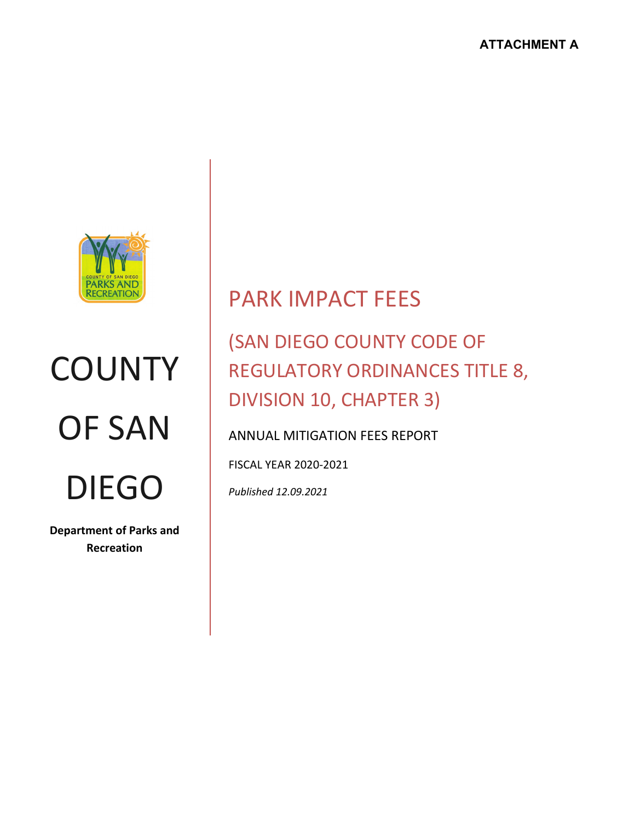

# **COUNTY** OF SAN DIEGO

**Department of Parks and Recreation**

# PARK IMPACT FEES

# (SAN DIEGO COUNTY CODE OF REGULATORY ORDINANCES TITLE 8, DIVISION 10, CHAPTER 3)

# ANNUAL MITIGATION FEES REPORT

FISCAL YEAR 2020-2021

*Published 12.09.2021*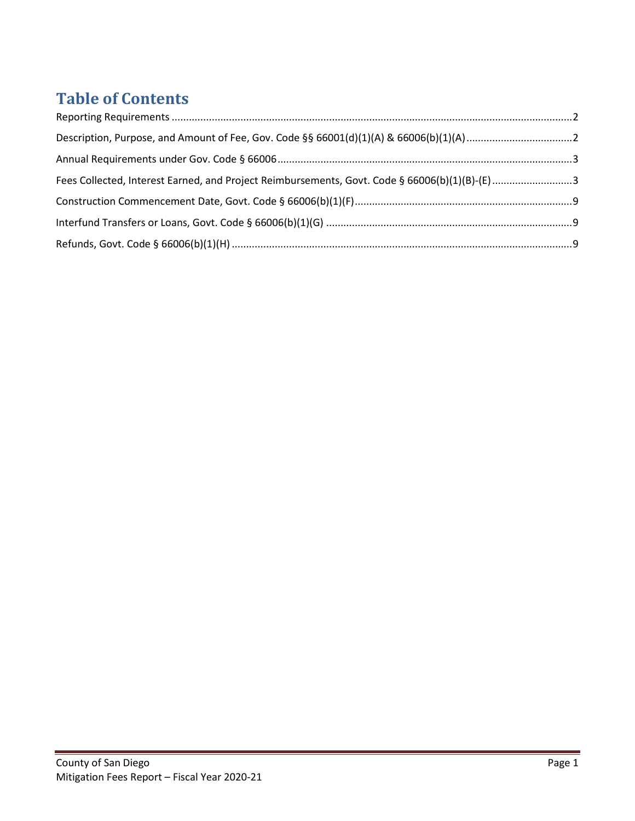# **Table of Contents**

| Fees Collected, Interest Earned, and Project Reimbursements, Govt. Code § 66006(b)(1)(B)-(E)3 |  |
|-----------------------------------------------------------------------------------------------|--|
|                                                                                               |  |
|                                                                                               |  |
|                                                                                               |  |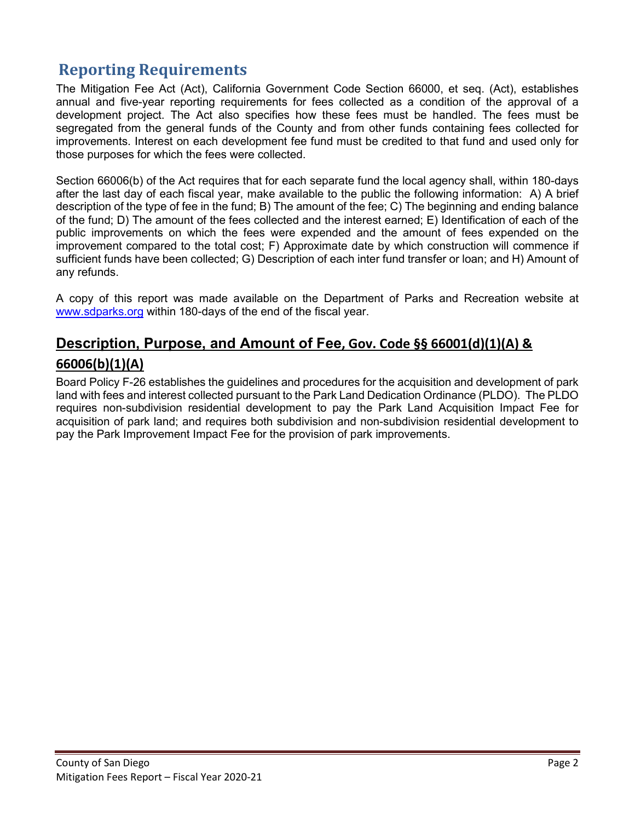# **Reporting Requirements**

The Mitigation Fee Act (Act), California Government Code Section 66000, et seq. (Act), establishes annual and five-year reporting requirements for fees collected as a condition of the approval of a development project. The Act also specifies how these fees must be handled. The fees must be segregated from the general funds of the County and from other funds containing fees collected for improvements. Interest on each development fee fund must be credited to that fund and used only for those purposes for which the fees were collected.

Section 66006(b) of the Act requires that for each separate fund the local agency shall, within 180-days after the last day of each fiscal year, make available to the public the following information: A) A brief description of the type of fee in the fund; B) The amount of the fee; C) The beginning and ending balance of the fund; D) The amount of the fees collected and the interest earned; E) Identification of each of the public improvements on which the fees were expended and the amount of fees expended on the improvement compared to the total cost; F) Approximate date by which construction will commence if sufficient funds have been collected; G) Description of each inter fund transfer or loan; and H) Amount of any refunds.

A copy of this report was made available on the Department of Parks and Recreation website at [www.sdparks.org](http://www.sdparks.org/) within 180-days of the end of the fiscal year.

## **Description, Purpose, and Amount of Fee, Gov. Code §§ 66001(d)(1)(A) & 66006(b)(1)(A)**

Board Policy F-26 establishes the guidelines and procedures for the acquisition and development of park land with fees and interest collected pursuant to the Park Land Dedication Ordinance (PLDO). The PLDO requires non-subdivision residential development to pay the Park Land Acquisition Impact Fee for acquisition of park land; and requires both subdivision and non-subdivision residential development to pay the Park Improvement Impact Fee for the provision of park improvements.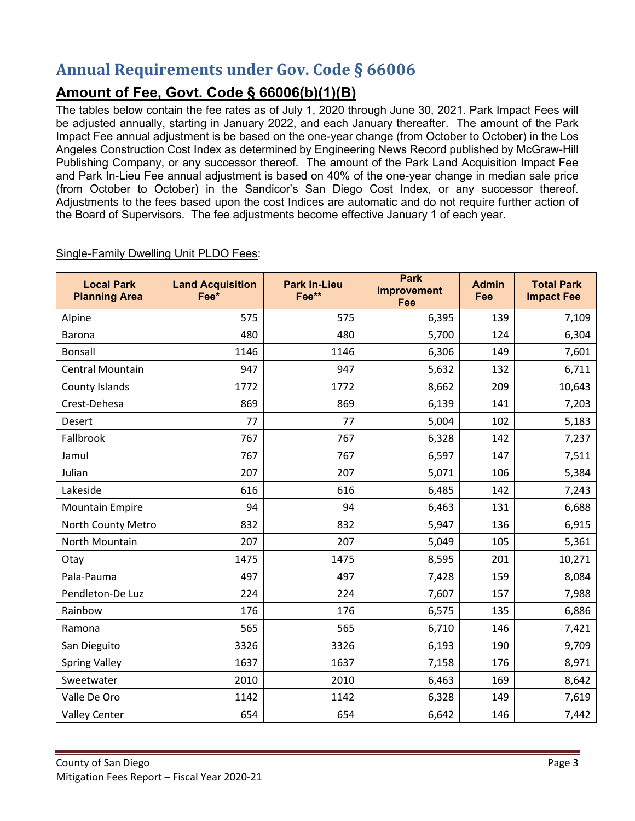# **Annual Requirements under Gov. Code § 66006**

# **Amount of Fee, Govt. Code § 66006(b)(1)(B)**

The tables below contain the fee rates as of July 1, 2020 through June 30, 2021. Park Impact Fees will be adjusted annually, starting in January 2022, and each January thereafter. The amount of the Park Impact Fee annual adjustment is be based on the one-year change (from October to October) in the Los Angeles Construction Cost Index as determined by Engineering News Record published by McGraw-Hill Publishing Company, or any successor thereof. The amount of the Park Land Acquisition Impact Fee and Park In-Lieu Fee annual adjustment is based on 40% of the one-year change in median sale price (from October to October) in the Sandicor's San Diego Cost Index, or any successor thereof. Adjustments to the fees based upon the cost Indices are automatic and do not require further action of the Board of Supervisors. The fee adjustments become effective January 1 of each year.

| <b>Local Park</b><br><b>Planning Area</b> | <b>Land Acquisition</b><br>Fee* | <b>Park In-Lieu</b><br>Fee** | <b>Park</b><br><b>Improvement</b><br>Fee | <b>Admin</b><br>Fee | <b>Total Park</b><br><b>Impact Fee</b> |
|-------------------------------------------|---------------------------------|------------------------------|------------------------------------------|---------------------|----------------------------------------|
| Alpine                                    | 575                             | 575                          | 6,395                                    | 139                 | 7,109                                  |
| <b>Barona</b>                             | 480                             | 480                          | 5,700                                    | 124                 | 6,304                                  |
| <b>Bonsall</b>                            | 1146                            | 1146                         | 6,306                                    | 149                 | 7,601                                  |
| <b>Central Mountain</b>                   | 947                             | 947                          | 5,632                                    | 132                 | 6,711                                  |
| County Islands                            | 1772                            | 1772                         | 8,662                                    | 209                 | 10,643                                 |
| Crest-Dehesa                              | 869                             | 869                          | 6,139                                    | 141                 | 7,203                                  |
| Desert                                    | 77                              | 77                           | 5,004                                    | 102                 | 5,183                                  |
| Fallbrook                                 | 767                             | 767                          | 6,328                                    | 142                 | 7,237                                  |
| Jamul                                     | 767                             | 767                          | 6,597                                    | 147                 | 7,511                                  |
| Julian                                    | 207                             | 207                          | 5,071                                    | 106                 | 5,384                                  |
| Lakeside                                  | 616                             | 616                          | 6,485                                    | 142                 | 7,243                                  |
| <b>Mountain Empire</b>                    | 94                              | 94                           | 6,463                                    | 131                 | 6,688                                  |
| North County Metro                        | 832                             | 832                          | 5,947                                    | 136                 | 6,915                                  |
| North Mountain                            | 207                             | 207                          | 5,049                                    | 105                 | 5,361                                  |
| Otay                                      | 1475                            | 1475                         | 8,595                                    | 201                 | 10,271                                 |
| Pala-Pauma                                | 497                             | 497                          | 7,428                                    | 159                 | 8,084                                  |
| Pendleton-De Luz                          | 224                             | 224                          | 7,607                                    | 157                 | 7,988                                  |
| Rainbow                                   | 176                             | 176                          | 6,575                                    | 135                 | 6,886                                  |
| Ramona                                    | 565                             | 565                          | 6,710                                    | 146                 | 7,421                                  |
| San Dieguito                              | 3326                            | 3326                         | 6,193                                    | 190                 | 9,709                                  |
| <b>Spring Valley</b>                      | 1637                            | 1637                         | 7,158                                    | 176                 | 8,971                                  |
| Sweetwater                                | 2010                            | 2010                         | 6,463                                    | 169                 | 8,642                                  |
| Valle De Oro                              | 1142                            | 1142                         | 6,328                                    | 149                 | 7,619                                  |
| <b>Valley Center</b>                      | 654                             | 654                          | 6,642                                    | 146                 | 7,442                                  |

Single-Family Dwelling Unit PLDO Fees: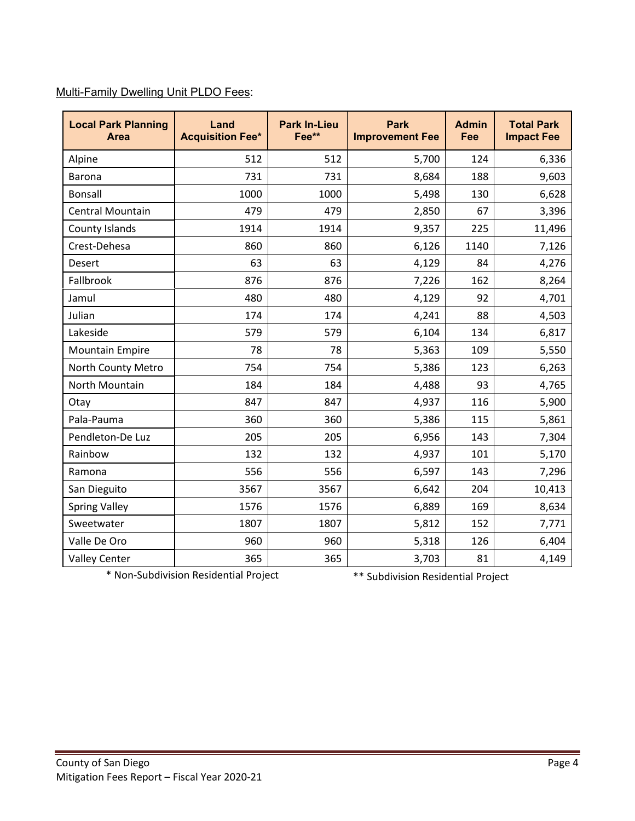#### Multi-Family Dwelling Unit PLDO Fees:

| <b>Local Park Planning</b><br>Area | Land<br><b>Acquisition Fee*</b> | <b>Park In-Lieu</b><br>Fee** | <b>Park</b><br><b>Improvement Fee</b> | <b>Admin</b><br>Fee | <b>Total Park</b><br><b>Impact Fee</b> |
|------------------------------------|---------------------------------|------------------------------|---------------------------------------|---------------------|----------------------------------------|
| Alpine                             | 512                             | 512                          | 5,700                                 | 124                 | 6,336                                  |
| Barona                             | 731                             | 731                          | 8,684                                 | 188                 | 9,603                                  |
| <b>Bonsall</b>                     | 1000                            | 1000                         | 5,498                                 | 130                 | 6,628                                  |
| <b>Central Mountain</b>            | 479                             | 479                          | 2,850                                 | 67                  | 3,396                                  |
| County Islands                     | 1914                            | 1914                         | 9,357                                 | 225                 | 11,496                                 |
| Crest-Dehesa                       | 860                             | 860                          | 6,126                                 | 1140                | 7,126                                  |
| Desert                             | 63                              | 63                           | 4,129                                 | 84                  | 4,276                                  |
| Fallbrook                          | 876                             | 876                          | 7,226                                 | 162                 | 8,264                                  |
| Jamul                              | 480                             | 480                          | 4,129                                 | 92                  | 4,701                                  |
| Julian                             | 174                             | 174                          | 4,241                                 | 88                  | 4,503                                  |
| Lakeside                           | 579                             | 579                          | 6,104                                 | 134                 | 6,817                                  |
| <b>Mountain Empire</b>             | 78                              | 78                           | 5,363                                 | 109                 | 5,550                                  |
| North County Metro                 | 754                             | 754                          | 5,386                                 | 123                 | 6,263                                  |
| North Mountain                     | 184                             | 184                          | 4,488                                 | 93                  | 4,765                                  |
| Otay                               | 847                             | 847                          | 4,937                                 | 116                 | 5,900                                  |
| Pala-Pauma                         | 360                             | 360                          | 5,386                                 | 115                 | 5,861                                  |
| Pendleton-De Luz                   | 205                             | 205                          | 6,956                                 | 143                 | 7,304                                  |
| Rainbow                            | 132                             | 132                          | 4,937                                 | 101                 | 5,170                                  |
| Ramona                             | 556                             | 556                          | 6,597                                 | 143                 | 7,296                                  |
| San Dieguito                       | 3567                            | 3567                         | 6,642                                 | 204                 | 10,413                                 |
| <b>Spring Valley</b>               | 1576                            | 1576                         | 6,889                                 | 169                 | 8,634                                  |
| Sweetwater                         | 1807                            | 1807                         | 5,812                                 | 152                 | 7,771                                  |
| Valle De Oro                       | 960                             | 960                          | 5,318                                 | 126                 | 6,404                                  |
| <b>Valley Center</b>               | 365                             | 365                          | 3,703                                 | 81                  | 4,149                                  |

\* Non-Subdivision Residential Project \*\* Subdivision Residential Project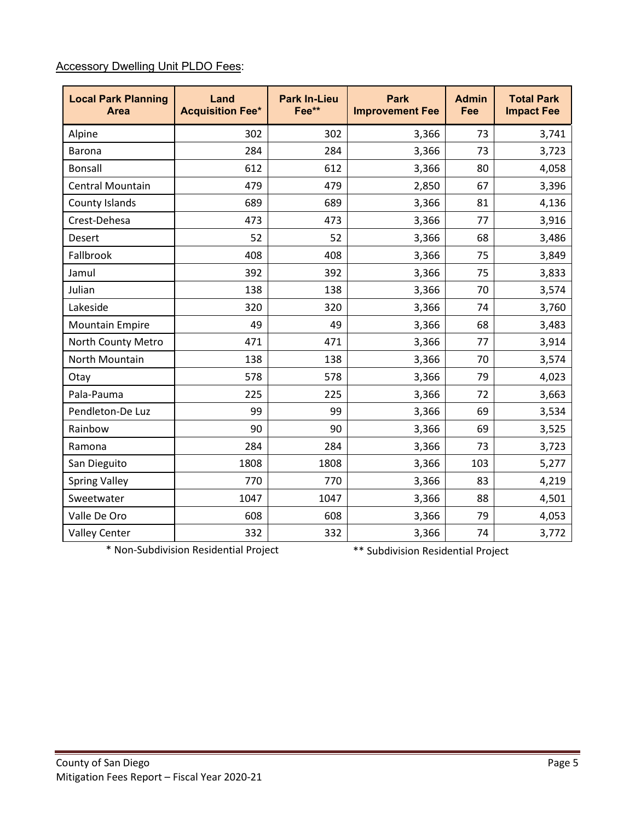#### Accessory Dwelling Unit PLDO Fees:

| <b>Local Park Planning</b><br><b>Area</b> | Land<br><b>Acquisition Fee*</b> | <b>Park In-Lieu</b><br>Fee** | <b>Park</b><br><b>Improvement Fee</b> | <b>Admin</b><br>Fee | <b>Total Park</b><br><b>Impact Fee</b> |
|-------------------------------------------|---------------------------------|------------------------------|---------------------------------------|---------------------|----------------------------------------|
| Alpine                                    | 302                             | 302                          | 3,366                                 | 73                  | 3,741                                  |
| Barona                                    | 284                             | 284                          | 3,366                                 | 73                  | 3,723                                  |
| <b>Bonsall</b>                            | 612                             | 612                          | 3,366                                 | 80                  | 4,058                                  |
| <b>Central Mountain</b>                   | 479                             | 479                          | 2,850                                 | 67                  | 3,396                                  |
| County Islands                            | 689                             | 689                          | 3,366                                 | 81                  | 4,136                                  |
| Crest-Dehesa                              | 473                             | 473                          | 3,366                                 | 77                  | 3,916                                  |
| Desert                                    | 52                              | 52                           | 3,366                                 | 68                  | 3,486                                  |
| Fallbrook                                 | 408                             | 408                          | 3,366                                 | 75                  | 3,849                                  |
| Jamul                                     | 392                             | 392                          | 3,366                                 | 75                  | 3,833                                  |
| Julian                                    | 138                             | 138                          | 3,366                                 | 70                  | 3,574                                  |
| Lakeside                                  | 320                             | 320                          | 3,366                                 | 74                  | 3,760                                  |
| <b>Mountain Empire</b>                    | 49                              | 49                           | 3,366                                 | 68                  | 3,483                                  |
| North County Metro                        | 471                             | 471                          | 3,366                                 | 77                  | 3,914                                  |
| North Mountain                            | 138                             | 138                          | 3,366                                 | 70                  | 3,574                                  |
| Otay                                      | 578                             | 578                          | 3,366                                 | 79                  | 4,023                                  |
| Pala-Pauma                                | 225                             | 225                          | 3,366                                 | 72                  | 3,663                                  |
| Pendleton-De Luz                          | 99                              | 99                           | 3,366                                 | 69                  | 3,534                                  |
| Rainbow                                   | 90                              | 90                           | 3,366                                 | 69                  | 3,525                                  |
| Ramona                                    | 284                             | 284                          | 3,366                                 | 73                  | 3,723                                  |
| San Dieguito                              | 1808                            | 1808                         | 3,366                                 | 103                 | 5,277                                  |
| <b>Spring Valley</b>                      | 770                             | 770                          | 3,366                                 | 83                  | 4,219                                  |
| Sweetwater                                | 1047                            | 1047                         | 3,366                                 | 88                  | 4,501                                  |
| Valle De Oro                              | 608                             | 608                          | 3,366                                 | 79                  | 4,053                                  |
| <b>Valley Center</b>                      | 332                             | 332                          | 3,366                                 | 74                  | 3,772                                  |

\* Non-Subdivision Residential Project \*\* Subdivision Residential Project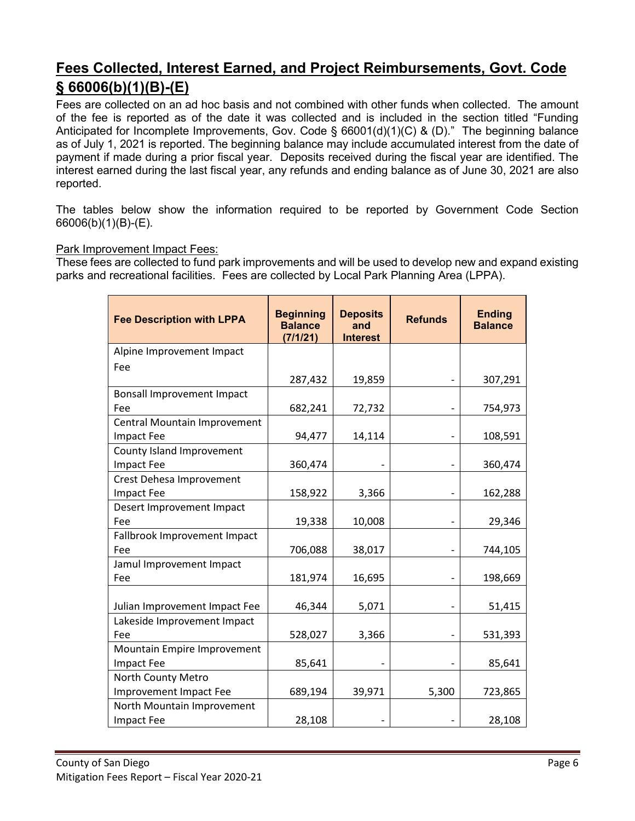# **Fees Collected, Interest Earned, and Project Reimbursements, Govt. Code § 66006(b)(1)(B)-(E)**

Fees are collected on an ad hoc basis and not combined with other funds when collected. The amount of the fee is reported as of the date it was collected and is included in the section titled "Funding Anticipated for Incomplete Improvements, Gov. Code § 66001(d)(1)(C) & (D)." The beginning balance as of July 1, 2021 is reported. The beginning balance may include accumulated interest from the date of payment if made during a prior fiscal year. Deposits received during the fiscal year are identified. The interest earned during the last fiscal year, any refunds and ending balance as of June 30, 2021 are also reported.

The tables below show the information required to be reported by Government Code Section 66006(b)(1)(B)-(E).

#### Park Improvement Impact Fees:

These fees are collected to fund park improvements and will be used to develop new and expand existing parks and recreational facilities. Fees are collected by Local Park Planning Area (LPPA).

| <b>Fee Description with LPPA</b>  | <b>Beginning</b><br><b>Balance</b><br>(7/1/21) | <b>Deposits</b><br>and<br><b>Interest</b> | <b>Refunds</b> | <b>Ending</b><br><b>Balance</b> |
|-----------------------------------|------------------------------------------------|-------------------------------------------|----------------|---------------------------------|
| Alpine Improvement Impact         |                                                |                                           |                |                                 |
| Fee                               |                                                |                                           |                |                                 |
|                                   | 287,432                                        | 19,859                                    |                | 307,291                         |
| <b>Bonsall Improvement Impact</b> |                                                |                                           |                |                                 |
| Fee                               | 682,241                                        | 72,732                                    |                | 754,973                         |
| Central Mountain Improvement      |                                                |                                           |                |                                 |
| <b>Impact Fee</b>                 | 94,477                                         | 14,114                                    |                | 108,591                         |
| County Island Improvement         |                                                |                                           |                |                                 |
| <b>Impact Fee</b>                 | 360,474                                        |                                           |                | 360,474                         |
| Crest Dehesa Improvement          |                                                |                                           |                |                                 |
| <b>Impact Fee</b>                 | 158,922                                        | 3,366                                     |                | 162,288                         |
| Desert Improvement Impact         |                                                |                                           |                |                                 |
| Fee                               | 19,338                                         | 10,008                                    |                | 29,346                          |
| Fallbrook Improvement Impact      |                                                |                                           |                |                                 |
| Fee                               | 706,088                                        | 38,017                                    |                | 744,105                         |
| Jamul Improvement Impact          |                                                |                                           |                |                                 |
| Fee                               | 181,974                                        | 16,695                                    |                | 198,669                         |
| Julian Improvement Impact Fee     | 46,344                                         | 5,071                                     |                | 51,415                          |
| Lakeside Improvement Impact       |                                                |                                           |                |                                 |
| Fee                               | 528,027                                        | 3,366                                     |                | 531,393                         |
| Mountain Empire Improvement       |                                                |                                           |                |                                 |
| <b>Impact Fee</b>                 | 85,641                                         |                                           |                | 85,641                          |
| North County Metro                |                                                |                                           |                |                                 |
| Improvement Impact Fee            | 689,194                                        | 39,971                                    | 5,300          | 723,865                         |
| North Mountain Improvement        |                                                |                                           |                |                                 |
| <b>Impact Fee</b>                 | 28,108                                         |                                           |                | 28,108                          |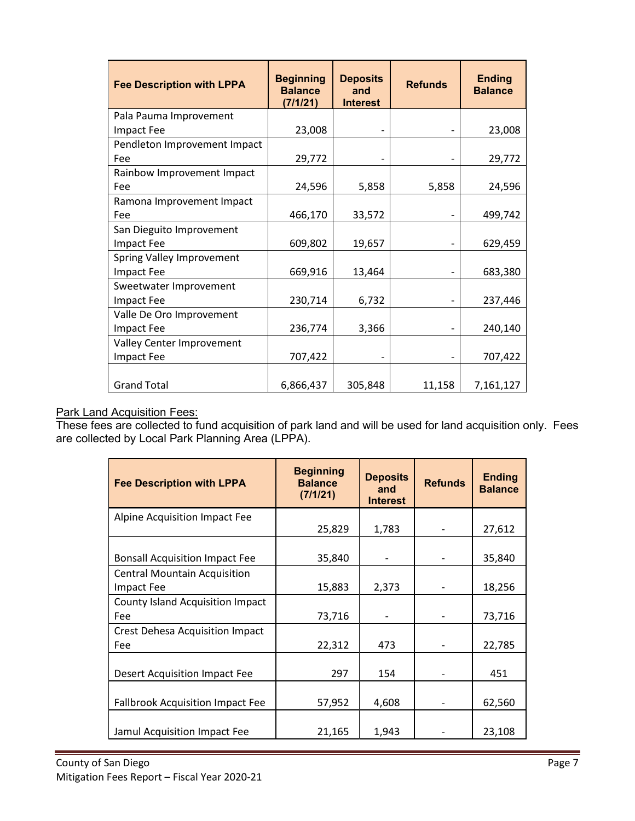| <b>Fee Description with LPPA</b> | <b>Beginning</b><br><b>Balance</b><br>(7/1/21) | <b>Deposits</b><br>and<br><b>Interest</b> | <b>Refunds</b> | <b>Ending</b><br><b>Balance</b> |
|----------------------------------|------------------------------------------------|-------------------------------------------|----------------|---------------------------------|
| Pala Pauma Improvement           |                                                |                                           |                |                                 |
| <b>Impact Fee</b>                | 23,008                                         |                                           |                | 23,008                          |
| Pendleton Improvement Impact     |                                                |                                           |                |                                 |
| Fee                              | 29,772                                         |                                           |                | 29,772                          |
| Rainbow Improvement Impact       |                                                |                                           |                |                                 |
| Fee                              | 24,596                                         | 5,858                                     | 5,858          | 24,596                          |
| Ramona Improvement Impact        |                                                |                                           |                |                                 |
| Fee                              | 466,170                                        | 33,572                                    |                | 499,742                         |
| San Dieguito Improvement         |                                                |                                           |                |                                 |
| <b>Impact Fee</b>                | 609,802                                        | 19,657                                    |                | 629,459                         |
| Spring Valley Improvement        |                                                |                                           |                |                                 |
| Impact Fee                       | 669,916                                        | 13,464                                    |                | 683,380                         |
| Sweetwater Improvement           |                                                |                                           |                |                                 |
| <b>Impact Fee</b>                | 230,714                                        | 6,732                                     |                | 237,446                         |
| Valle De Oro Improvement         |                                                |                                           |                |                                 |
| <b>Impact Fee</b>                | 236,774                                        | 3,366                                     |                | 240,140                         |
| Valley Center Improvement        |                                                |                                           |                |                                 |
| Impact Fee                       | 707,422                                        |                                           |                | 707,422                         |
|                                  |                                                |                                           |                |                                 |
| <b>Grand Total</b>               | 6,866,437                                      | 305,848                                   | 11,158         | 7,161,127                       |

#### Park Land Acquisition Fees:

These fees are collected to fund acquisition of park land and will be used for land acquisition only. Fees are collected by Local Park Planning Area (LPPA).

| <b>Fee Description with LPPA</b>        | <b>Beginning</b><br><b>Balance</b><br>(7/1/21) | <b>Deposits</b><br>and<br><b>Interest</b> | <b>Refunds</b> | <b>Ending</b><br><b>Balance</b> |
|-----------------------------------------|------------------------------------------------|-------------------------------------------|----------------|---------------------------------|
| Alpine Acquisition Impact Fee           | 25,829                                         | 1,783                                     |                | 27,612                          |
|                                         |                                                |                                           |                |                                 |
| <b>Bonsall Acquisition Impact Fee</b>   | 35,840                                         | $\qquad \qquad -$                         |                | 35,840                          |
| <b>Central Mountain Acquisition</b>     |                                                |                                           |                |                                 |
| Impact Fee                              | 15,883                                         | 2,373                                     |                | 18,256                          |
| <b>County Island Acquisition Impact</b> |                                                |                                           |                |                                 |
| Fee                                     | 73,716                                         |                                           |                | 73,716                          |
| <b>Crest Dehesa Acquisition Impact</b>  |                                                |                                           |                |                                 |
| Fee                                     | 22,312                                         | 473                                       |                | 22,785                          |
|                                         |                                                |                                           |                |                                 |
| Desert Acquisition Impact Fee           | 297                                            | 154                                       |                | 451                             |
|                                         |                                                |                                           |                |                                 |
| <b>Fallbrook Acquisition Impact Fee</b> | 57,952                                         | 4,608                                     |                | 62,560                          |
|                                         |                                                |                                           |                |                                 |
| Jamul Acquisition Impact Fee            | 21,165                                         | 1,943                                     |                | 23,108                          |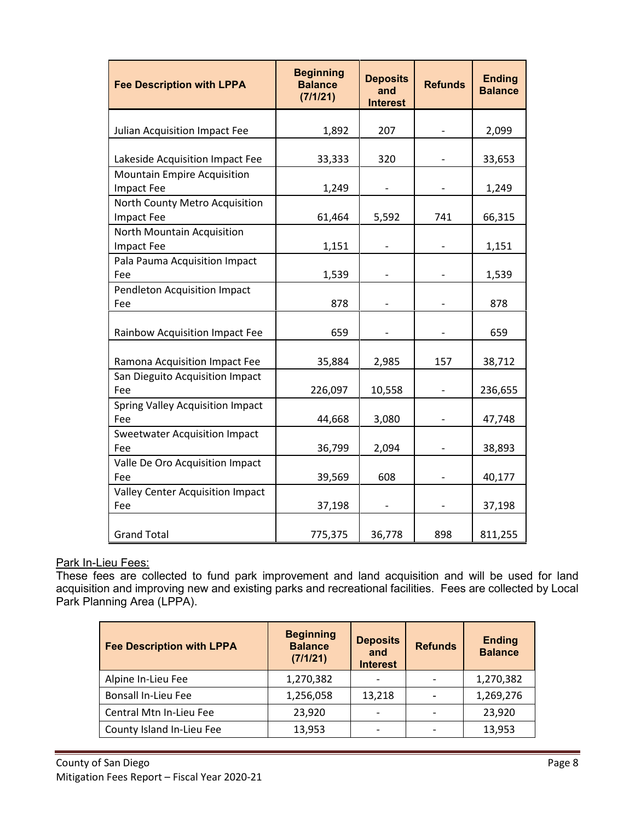| <b>Fee Description with LPPA</b>                    | <b>Beginning</b><br><b>Balance</b><br>(7/1/21) | <b>Deposits</b><br>and<br><b>Interest</b> | <b>Refunds</b> | <b>Ending</b><br><b>Balance</b> |
|-----------------------------------------------------|------------------------------------------------|-------------------------------------------|----------------|---------------------------------|
| Julian Acquisition Impact Fee                       | 1,892                                          | 207                                       |                | 2,099                           |
| Lakeside Acquisition Impact Fee                     | 33,333                                         | 320                                       |                | 33,653                          |
| <b>Mountain Empire Acquisition</b><br>Impact Fee    | 1,249                                          |                                           |                | 1,249                           |
| North County Metro Acquisition<br><b>Impact Fee</b> | 61,464                                         | 5,592                                     | 741            | 66,315                          |
| North Mountain Acquisition<br><b>Impact Fee</b>     | 1,151                                          |                                           |                | 1,151                           |
| Pala Pauma Acquisition Impact<br>Fee                | 1,539                                          |                                           |                | 1,539                           |
| Pendleton Acquisition Impact<br>Fee                 | 878                                            |                                           |                | 878                             |
| Rainbow Acquisition Impact Fee                      | 659                                            |                                           |                | 659                             |
| Ramona Acquisition Impact Fee                       | 35,884                                         | 2,985                                     | 157            | 38,712                          |
| San Dieguito Acquisition Impact<br>Fee              | 226,097                                        | 10,558                                    |                | 236,655                         |
| <b>Spring Valley Acquisition Impact</b><br>Fee      | 44,668                                         | 3,080                                     |                | 47,748                          |
| <b>Sweetwater Acquisition Impact</b><br>Fee         | 36,799                                         | 2,094                                     |                | 38,893                          |
| Valle De Oro Acquisition Impact<br>Fee              | 39,569                                         | 608                                       |                | 40,177                          |
| <b>Valley Center Acquisition Impact</b><br>Fee      | 37,198                                         |                                           |                | 37,198                          |
| <b>Grand Total</b>                                  | 775,375                                        | 36,778                                    | 898            | 811,255                         |

#### Park In-Lieu Fees:

These fees are collected to fund park improvement and land acquisition and will be used for land acquisition and improving new and existing parks and recreational facilities. Fees are collected by Local Park Planning Area (LPPA).

| <b>Fee Description with LPPA</b> | <b>Beginning</b><br><b>Balance</b><br>(7/1/21) | <b>Deposits</b><br>and<br><b>Interest</b> | <b>Refunds</b> | <b>Ending</b><br><b>Balance</b> |
|----------------------------------|------------------------------------------------|-------------------------------------------|----------------|---------------------------------|
| Alpine In-Lieu Fee               | 1,270,382                                      |                                           |                | 1,270,382                       |
| <b>Bonsall In-Lieu Fee</b>       | 1,256,058                                      | 13,218                                    |                | 1,269,276                       |
| Central Mtn In-Lieu Fee          | 23,920                                         | $\overline{\phantom{0}}$                  |                | 23,920                          |
| County Island In-Lieu Fee        | 13,953                                         |                                           |                | 13,953                          |